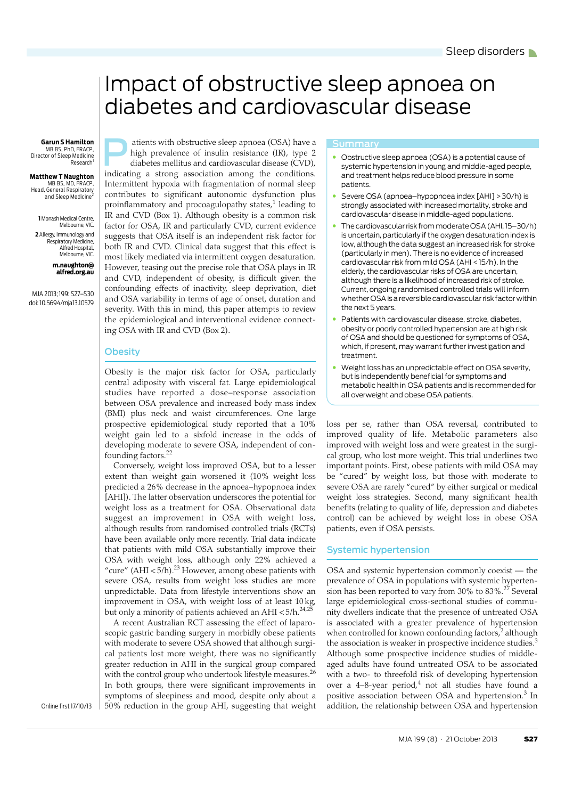# <span id="page-0-0"></span>Impact of obstructive sleep apnoea on diabetes and cardiovascular disease

**Garun S Hamilton**<br>
MB BS, PhD, FRACP,<br>
tor of Sleep Medicine<br>
Research<sup>1</sup> MB BS, PhD, FRACP Director of Sleep Medicine Research

**Matthew T Naughton** MB BS, MD, FRACP, Head, General Respiratory and Sleep Medicine

**1** Monash Medical Centre, Melbourne, VIC. **2** Allergy, Immunology and Respiratory Medicine, Alfred Hospital, Melbourne, VIC.

**m.naughton@ alfred.org.au**

MJA 2013; 199: [S27](#page-0-0)–S[30](#page-3-10) doi: 10.5694/mja13.10579

atients with obstructive sleep apnoea (OSA) have a high prevalence of insulin resistance (IR), type 2 diabetes mellitus and cardiovascular disease (CVD), indicating a strong association among the conditions. Intermittent hypoxia with fragmentation of normal sleep contributes to significant autonomic dysfunction plus proinflammatory and procoagulopathy states, $^1$  leading to IR and CVD (Box 1). Although obesity is a common risk factor for OSA, IR and particularly CVD, current evidence suggests that OSA itself is an independent risk factor for both IR and CVD. Clinical data suggest that this effect is most likely mediated via intermittent oxygen desaturation. However, teasing out the precise role that OSA plays in IR and CVD, independent of obesity, is difficult given the confounding effects of inactivity, sleep deprivation, diet and OSA variability in terms of age of onset, duration and severity. With this in mind, this paper attempts to review the epidemiological and interventional evidence connecting OSA with IR and CVD (Box 2).

## **Obesity**

Obesity is the major risk factor for OSA, particularly central adiposity with visceral fat. Large epidemiological studies have reported a dose–response association between OSA prevalence and increased body mass index (BMI) plus neck and waist circumferences. One large prospective epidemiological study reported that a 10% weight gain led to a sixfold increase in the odds of developing moderate to severe OSA, independent of con-founding factors.<sup>[22](#page-3-1)</sup>

Conversely, weight loss improved OSA, but to a lesser extent than weight gain worsened it (10% weight loss predicted a 26% decrease in the apnoea–hypopnoea index [AHI]). The latter observation underscores the potential for weight loss as a treatment for OSA. Observational data suggest an improvement in OSA with weight loss, although results from randomised controlled trials (RCTs) have been available only more recently. Trial data indicate that patients with mild OSA substantially improve their OSA with weight loss, although only 22% achieved a "cure" (AHI <  $5/h$ ).<sup>23</sup> However, among obese patients with severe OSA, results from weight loss studies are more unpredictable. Data from lifestyle interventions show an improvement in OSA, with weight loss of at least 10 kg, but only a minority of patients achieved an AHI  $< 5/h$ .<sup>[24](#page-3-3),[25](#page-3-4)</sup>

scopic gastric banding surgery in morbidly obese patients with moderate to severe OSA showed that although surgical patients lost more weight, there was no significantly where  $\frac{m}{\alpha}$ A recent Australian RCT assessing the effect of laparogreater reduction in AHI in the surgical group compared with the control group who undertook lifestyle measures.<sup>[26](#page-3-5)</sup> In both groups, there were significant improvements in symptoms of sleepiness and mood, despite only about a 50% reduction in the group AHI, suggesting that weight

- Obstructive sleep apnoea (OSA) is a potential cause of systemic hypertension in young and middle-aged people, and treatment helps reduce blood pressure in some patients.
- Severe OSA (apnoea–hypopnoea index [AHI] >30/h) is strongly associated with increased mortality, stroke and cardiovascular disease in middle-aged populations.
- The cardiovascular risk from moderate OSA (AHI, 15–30/h) is uncertain, particularly if the oxygen desaturation index is low, although the data suggest an increased risk for stroke (particularly in men). There is no evidence of increased cardiovascular risk from mild OSA (AHI <15/h). In the elderly, the cardiovascular risks of OSA are uncertain, although there is a likelihood of increased risk of stroke. Current, ongoing randomised controlled trials will inform whether OSA is a reversible cardiovascular risk factor within the next 5 years.
- Patients with cardiovascular disease, stroke, diabetes, obesity or poorly controlled hypertension are at high risk of OSA and should be questioned for symptoms of OSA, which, if present, may warrant further investigation and treatment.
- Weight loss has an unpredictable effect on OSA severity, but is independently beneficial for symptoms and metabolic health in OSA patients and is recommended for all overweight and obese OSA patients.

loss per se, rather than OSA reversal, contributed to improved quality of life. Metabolic parameters also improved with weight loss and were greatest in the surgical group, who lost more weight. This trial underlines two important points. First, obese patients with mild OSA may be "cured" by weight loss, but those with moderate to severe OSA are rarely "cured" by either surgical or medical weight loss strategies. Second, many significant health benefits (relating to quality of life, depression and diabetes control) can be achieved by weight loss in obese OSA patients, even if OSA persists.

## Systemic hypertension

OSA and systemic hypertension commonly coexist — the prevalence of OSA in populations with systemic hypertension has been reported to vary from 30% to  $83\%$ .<sup>[27](#page-3-6)</sup> Several large epidemiological cross-sectional studies of community dwellers indicate that the presence of untreated OSA is associated with a greater prevalence of hypertension when controlled for known confounding factors, $^2$  $^2$  although the association is weaker in prospective incidence studies. $3$ Although some prospective incidence studies of middleaged adults have found untreated OSA to be associated with a two- to threefold risk of developing hypertension over a [4](#page-3-9)–8-year period, $4$  not all studies have found a positive association between OSA and hypertension.<sup>[3](#page-3-8)</sup> In addition, the relationship between OSA and hypertension

Online first 17/10/13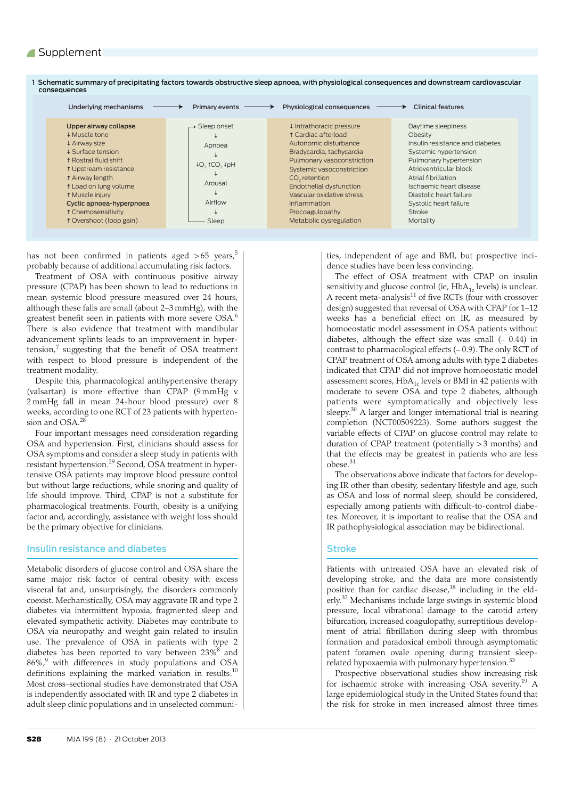| Underlying mechanisms                                                                                                                                                                                                                                                                                                | Primary events                                                                         | Physiological consequences                                                                                                                                                                                                                                                                                                | Clinical features                                                                                                                                                                                                                                                                  |
|----------------------------------------------------------------------------------------------------------------------------------------------------------------------------------------------------------------------------------------------------------------------------------------------------------------------|----------------------------------------------------------------------------------------|---------------------------------------------------------------------------------------------------------------------------------------------------------------------------------------------------------------------------------------------------------------------------------------------------------------------------|------------------------------------------------------------------------------------------------------------------------------------------------------------------------------------------------------------------------------------------------------------------------------------|
| Upper airway collapse<br><b>↓ Muscle tone</b><br>+ Airway size<br><b>↓ Surface tension</b><br><b>t Rostral fluid shift</b><br><b>1 Upstream resistance</b><br>t Airway length<br>t Load on lung volume<br>t Muscle injury<br>Cyclic apnoea-hyperpnoea<br><b>1 Chemosensitivity</b><br><b>t</b> Overshoot (loop gain) | $\rightarrow$ Sleep onset<br>Apnoea<br>${10, 1CO, 1pH}$<br>Arousal<br>Airflow<br>Sleep | ↓ Intrathoracic pressure<br><b>1 Cardiac afterload</b><br>Autonomic disturbance<br>Bradycardia, tachycardia<br>Pulmonary vasoconstriction<br>Systemic vasoconstriction<br>CO <sub>2</sub> retention<br>Endothelial dysfunction<br>Vascular oxidative stress<br>Inflammation<br>Procoagulopathy<br>Metabolic dysregulation | Daytime sleepiness<br>Obesity<br>Insulin resistance and diabetes<br>Systemic hypertension<br>Pulmonary hypertension<br>Atrioventricular block<br>Atrial fibrillation<br>Ischaemic heart disease<br>Diastolic heart failure<br>Systolic heart failure<br><b>Stroke</b><br>Mortality |

1 Schematic summary of precipitating factors towards obstructive sleep apnoea, with physiological consequences and downstream cardiovascular consequences

has not been confirmed in patients aged  $>65$  $>65$  years,<sup>5</sup> probably because of additional accumulating risk factors.

Treatment of OSA with continuous positive airway pressure (CPAP) has been shown to lead to reductions in mean systemic blood pressure measured over 24 hours, although these falls are small (about 2–3 mmHg), with the greatest benefit seen in patients with more severe OSA.<sup>[6](#page-3-12)</sup> There is also evidence that treatment with mandibular advancement splints leads to an improvement in hypertension,[7](#page-3-13) suggesting that the benefit of OSA treatment with respect to blood pressure is independent of the treatment modality.

Despite this, pharmacological antihypertensive therapy (valsartan) is more effective than CPAP (9 mmHg v 2 mmHg fall in mean 24-hour blood pressure) over 8 weeks, according to one RCT of 23 patients with hyperten-sion and OSA.<sup>[28](#page-3-14)</sup>

Four important messages need consideration regarding OSA and hypertension. First, clinicians should assess for OSA symptoms and consider a sleep study in patients with resistant hypertension.<sup>[29](#page-3-15)</sup> Second, OSA treatment in hypertensive OSA patients may improve blood pressure control but without large reductions, while snoring and quality of life should improve. Third, CPAP is not a substitute for pharmacological treatments. Fourth, obesity is a unifying factor and, accordingly, assistance with weight loss should be the primary objective for clinicians.

## Insulin resistance and diabetes

Metabolic disorders of glucose control and OSA share the same major risk factor of central obesity with excess visceral fat and, unsurprisingly, the disorders commonly coexist. Mechanistically, OSA may aggravate IR and type 2 diabetes via intermittent hypoxia, fragmented sleep and elevated sympathetic activity. Diabetes may contribute to OSA via neuropathy and weight gain related to insulin use. The prevalence of OSA in patients with type 2 diabetes has been reported to vary between 23% $^8$  $^8$  and 86%,<sup>[9](#page-3-17)</sup> with differences in study populations and OSA definitions explaining the marked variation in results.<sup>[10](#page-3-18)</sup> Most cross-sectional studies have demonstrated that OSA is independently associated with IR and type 2 diabetes in adult sleep clinic populations and in unselected communi-

ties, independent of age and BMI, but prospective incidence studies have been less convincing.

The effect of OSA treatment with CPAP on insulin sensitivity and glucose control (ie,  $HbA_{1c}$  levels) is unclear. A recent meta-analysis $^{11}$  of five RCTs (four with crossover design) suggested that reversal of OSA with CPAP for 1–12 weeks has a beneficial effect on IR, as measured by homoeostatic model assessment in OSA patients without diabetes, although the effect size was small  $(-0.44)$  in contrast to pharmacological effects  $(-0.9)$ . The only RCT of CPAP treatment of OSA among adults with type 2 diabetes indicated that CPAP did not improve homoeostatic model assessment scores,  $HbA_{1c}$  levels or BMI in 42 patients with moderate to severe OSA and type 2 diabetes, although patients were symptomatically and objectively less sleepy.<sup>[30](#page-3-20)</sup> A larger and longer international trial is nearing completion (NCT00509223). Some authors suggest the variable effects of CPAP on glucose control may relate to duration of CPAP treatment (potentially > 3 months) and that the effects may be greatest in patients who are less obese.[31](#page-3-21)

The observations above indicate that factors for developing IR other than obesity, sedentary lifestyle and age, such as OSA and loss of normal sleep, should be considered, especially among patients with difficult-to-control diabetes. Moreover, it is important to realise that the OSA and IR pathophysiological association may be bidirectional.

## **Stroke**

Patients with untreated OSA have an elevated risk of developing stroke, and the data are more consistently positive than for cardiac disease, $^{18}$  including in the elderly[.32](#page-3-23) Mechanisms include large swings in systemic blood pressure, local vibrational damage to the carotid artery bifurcation, increased coagulopathy, surreptitious development of atrial fibrillation during sleep with thrombus formation and paradoxical emboli through asymptomatic patent foramen ovale opening during transient sleep-related hypoxaemia with pulmonary hypertension.<sup>[33](#page-3-24)</sup>

Prospective observational studies show increasing risk for ischaemic stroke with increasing OSA severity.[19](#page-3-25) A large epidemiological study in the United States found that the risk for stroke in men increased almost three times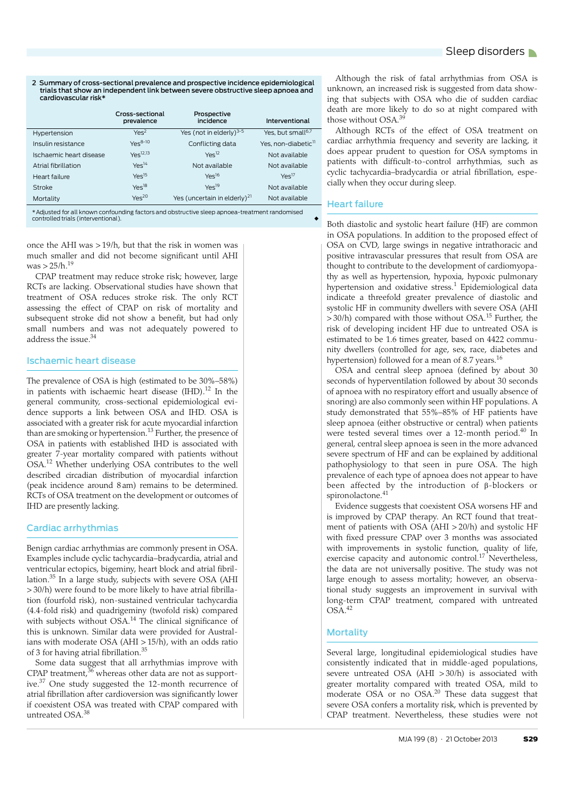### 2 Summary of cross-sectional prevalence and prospective incidence epidemiological trials that show an independent link between severe obstructive sleep apnoea and cardiovascular risk\*

|                         | Cross-sectional<br>prevalence | Prospective<br>incidence                 | Interventional                  |
|-------------------------|-------------------------------|------------------------------------------|---------------------------------|
| Hypertension            | Yes <sup>2</sup>              | Yes (not in elderly) <sup>3-5</sup>      | Yes, but small <sup>6,7</sup>   |
| Insulin resistance      | $Ye^{-8-10}$                  | Conflicting data                         | Yes. non-diabetic <sup>11</sup> |
| Ischaemic heart disease | $Ye^{-12,13}$                 | Yes <sup>12</sup>                        | Not available                   |
| Atrial fibrillation     | $Yes^{14}$                    | Not available                            | Not available                   |
| Heart failure           | Yes <sup>15</sup>             | $Yes^{16}$                               | Yes <sup>17</sup>               |
| Stroke                  | $Yes^{18}$                    | $Yes^{19}$                               | Not available                   |
| Mortality               | Yes <sup>20</sup>             | Yes (uncertain in elderly) <sup>21</sup> | Not available                   |

\*Adjusted for all known confounding factors and obstructive sleep apnoea-treatment randomised controlled trials (interventional).

once the AHI was > 19/h, but that the risk in women was much smaller and did not become significant until AHI was  $> 25/h$ .<sup>19</sup>

CPAP treatment may reduce stroke risk; however, large RCTs are lacking. Observational studies have shown that treatment of OSA reduces stroke risk. The only RCT assessing the effect of CPAP on risk of mortality and subsequent stroke did not show a benefit, but had only small numbers and was not adequately powered to address the issue[.34](#page-3-26)

## Ischaemic heart disease

The prevalence of OSA is high (estimated to be 30%–58%) in patients with ischaemic heart disease  $(HID).<sup>12</sup>$  In the general community, cross-sectional epidemiological evidence supports a link between OSA and IHD. OSA is associated with a greater risk for acute myocardial infarction than are smoking or hypertension.<sup>13</sup> Further, the presence of OSA in patients with established IHD is associated with greater 7-year mortality compared with patients without OSA.[12](#page-3-27) Whether underlying OSA contributes to the well described circadian distribution of myocardial infarction (peak incidence around 8 am) remains to be determined. RCTs of OSA treatment on the development or outcomes of IHD are presently lacking.

## Cardiac arrhythmias

Benign cardiac arrhythmias are commonly present in OSA. Examples include cyclic tachycardia–bradycardia, atrial and ventricular ectopics, bigeminy, heart block and atrial fibrillation.<sup>35</sup> In a large study, subjects with severe OSA (AHI > 30/h) were found to be more likely to have atrial fibrillation (fourfold risk), non-sustained ventricular tachycardia (4.4-fold risk) and quadrigeminy (twofold risk) compared with subjects without OSA.<sup>14</sup> The clinical significance of this is unknown. Similar data were provided for Australians with moderate OSA (AHI > 15/h), with an odds ratio of 3 for having atrial fibrillation.[35](#page-3-29)

Some data suggest that all arrhythmias improve with CPAP treatment, $36$  whereas other data are not as supportive.[37](#page-3-32) One study suggested the 12-month recurrence of atrial fibrillation after cardioversion was significantly lower if coexistent OSA was treated with CPAP compared with untreated OSA.[38](#page-3-33)

Although the risk of fatal arrhythmias from OSA is unknown, an increased risk is suggested from data showing that subjects with OSA who die of sudden cardiac death are more likely to do so at night compared with those without OSA.<sup>[39](#page-3-34)</sup>

Although RCTs of the effect of OSA treatment on cardiac arrhythmia frequency and severity are lacking, it does appear prudent to question for OSA symptoms in patients with difficult-to-control arrhythmias, such as cyclic tachycardia–bradycardia or atrial fibrillation, especially when they occur during sleep.

## Heart failure

Both diastolic and systolic heart failure (HF) are common in OSA populations. In addition to the proposed effect of OSA on CVD, large swings in negative intrathoracic and positive intravascular pressures that result from OSA are thought to contribute to the development of cardiomyopathy as well as hypertension, hypoxia, hypoxic pulmonary hypertension and oxidative stress. $^1$  $^1$  Epidemiological data indicate a threefold greater prevalence of diastolic and systolic HF in community dwellers with severe OSA (AHI > 30/h) compared with those without OSA.[15](#page-3-35) Further, the risk of developing incident HF due to untreated OSA is estimated to be 1.6 times greater, based on 4422 community dwellers (controlled for age, sex, race, diabetes and hypertension) followed for a mean of 8.7 years.<sup>16</sup>

OSA and central sleep apnoea (defined by about 30 seconds of hyperventilation followed by about 30 seconds of apnoea with no respiratory effort and usually absence of snoring) are also commonly seen within HF populations. A study demonstrated that 55%–85% of HF patients have sleep apnoea (either obstructive or central) when patients were tested several times over a 12-month period[.40](#page-3-37) In general, central sleep apnoea is seen in the more advanced severe spectrum of HF and can be explained by additional pathophysiology to that seen in pure OSA. The high prevalence of each type of apnoea does not appear to have been affected by the introduction of  $\beta$ -blockers or spironolactone.<sup>[41](#page-3-38)</sup>

Evidence suggests that coexistent OSA worsens HF and is improved by CPAP therapy. An RCT found that treatment of patients with OSA (AHI > 20/h) and systolic HF with fixed pressure CPAP over 3 months was associated with improvements in systolic function, quality of life, exercise capacity and autonomic control.<sup>[17](#page-3-39)</sup> Nevertheless, the data are not universally positive. The study was not large enough to assess mortality; however, an observational study suggests an improvement in survival with long-term CPAP treatment, compared with untreated OSA[.42](#page-3-10)

## **Mortality**

Several large, longitudinal epidemiological studies have consistently indicated that in middle-aged populations, severe untreated OSA (AHI > 30/h) is associated with greater mortality compared with treated OSA, mild to moderate OSA or no OSA.[20](#page-3-40) These data suggest that severe OSA confers a mortality risk, which is prevented by CPAP treatment. Nevertheless, these studies were not